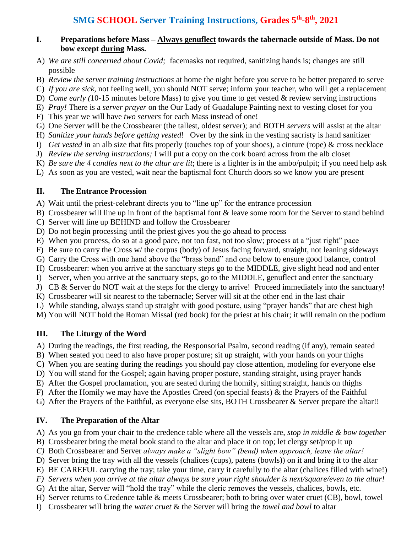#### **I. Preparations before Mass – Always genuflect towards the tabernacle outside of Mass. Do not bow except during Mass.**

- A) *We are still concerned about Covid;* facemasks not required, sanitizing hands is; changes are still possible
- B) *Review the server training instructions* at home the night before you serve to be better prepared to serve
- C) *If you are sick*, not feeling well, you should NOT serve; inform your teacher, who will get a replacement
- D) *Come early (*10-15 minutes before Mass) to give you time to get vested & review serving instructions
- E) *Pray!* There is a *server prayer* on the Our Lady of Guadalupe Painting next to vesting closet for you
- F) This year we will have *two servers* for each Mass instead of one!
- G) One Server will be the Crossbearer (the tallest, oldest server); and BOTH *servers* will assist at the altar
- H) *Sanitize your hands before getting vested*! Over by the sink in the vesting sacristy is hand sanitizer
- I) *Get vested* in an alb size that fits properly (touches top of your shoes), a cinture (rope) & cross necklace
- J) *Review the serving instructions;* I will put a copy on the cork board across from the alb closet
- K) *Be sure the 4 candles next to the altar are lit*; there is a lighter is in the ambo/pulpit; if you need help ask
- L) As soon as you are vested, wait near the baptismal font Church doors so we know you are present

### **II. The Entrance Procession**

A) Wait until the priest-celebrant directs you to "line up" for the entrance procession

- B) Crossbearer will line up in front of the baptismal font & leave some room for the Server to stand behind
- C) Server will line up BEHIND and follow the Crossbearer
- D) Do not begin processing until the priest gives you the go ahead to process
- E) When you process, do so at a good pace, not too fast, not too slow; process at a "just right" pace
- F) Be sure to carry the Cross w/ the corpus (body) of Jesus facing forward, straight, not leaning sideways
- G) Carry the Cross with one hand above the "brass band" and one below to ensure good balance, control
- H) Crossbearer: when you arrive at the sanctuary steps go to the MIDDLE, give slight head nod and enter
- I) Server, when you arrive at the sanctuary steps, go to the MIDDLE, genuflect and enter the sanctuary
- J) CB & Server do NOT wait at the steps for the clergy to arrive! Proceed immediately into the sanctuary!
- K) Crossbearer will sit nearest to the tabernacle; Server will sit at the other end in the last chair
- L) While standing, always stand up straight with good posture, using "prayer hands" that are chest high

M) You will NOT hold the Roman Missal (red book) for the priest at his chair; it will remain on the podium

## **III. The Liturgy of the Word**

A) During the readings, the first reading, the Responsorial Psalm, second reading (if any), remain seated

- B) When seated you need to also have proper posture; sit up straight, with your hands on your thighs
- C) When you are seating during the readings you should pay close attention, modeling for everyone else
- D) You will stand for the Gospel; again having proper posture, standing straight, using prayer hands
- E) After the Gospel proclamation, you are seated during the homily, sitting straight, hands on thighs
- F) After the Homily we may have the Apostles Creed (on special feasts) & the Prayers of the Faithful
- G) After the Prayers of the Faithful, as everyone else sits, BOTH Crossbearer & Server prepare the altar!!

# **IV. The Preparation of the Altar**

- A) As you go from your chair to the credence table where all the vessels are, *stop in middle & bow together*
- B) Crossbearer bring the metal book stand to the altar and place it on top; let clergy set/prop it up
- *C)* Both Crossbearer and Server *always make a "slight bow" (bend) when approach, leave the altar!*
- D) Server bring the tray with all the vessels (chalices (cups), patens (bowls)) on it and bring it to the altar
- E) BE CAREFUL carrying the tray; take your time, carry it carefully to the altar (chalices filled with wine!)
- *F) Servers when you arrive at the altar always be sure your right shoulder is next/square/even to the altar!*
- G) At the altar, Server will "hold the tray" while the cleric removes the vessels, chalices, bowls, etc.
- H) Server returns to Credence table & meets Crossbearer; both to bring over water cruet (CB), bowl, towel
- I) Crossbearer will bring the *water cruet* & the Server will bring the *towel and bowl* to altar